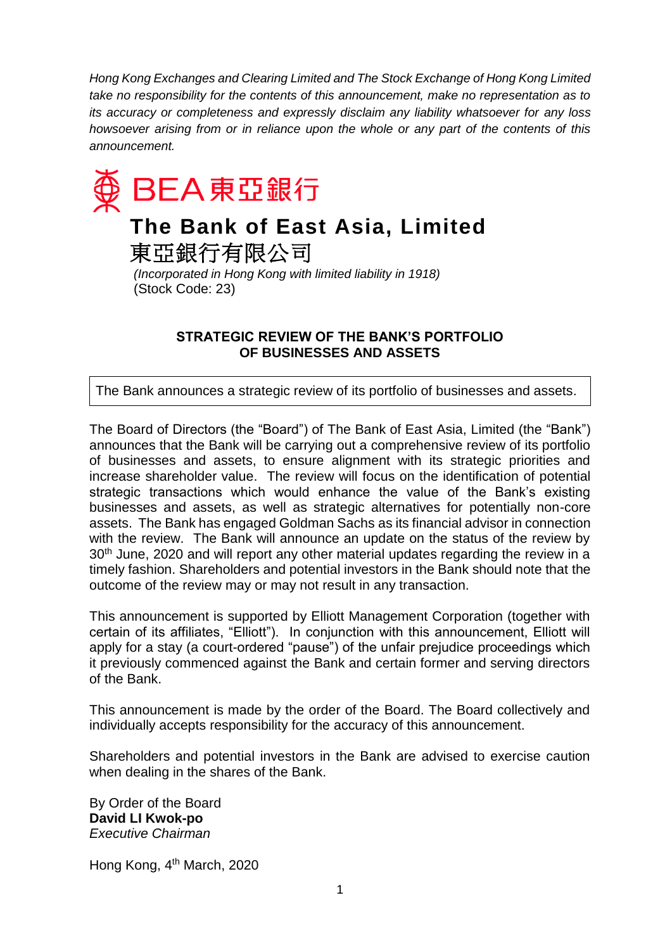*Hong Kong Exchanges and Clearing Limited and The Stock Exchange of Hong Kong Limited take no responsibility for the contents of this announcement, make no representation as to its accuracy or completeness and expressly disclaim any liability whatsoever for any loss howsoever arising from or in reliance upon the whole or any part of the contents of this announcement.*



## **The Bank of East Asia, Limited** 東亞銀行有限公司

*(Incorporated in Hong Kong with limited liability in 1918)* (Stock Code: 23)

## **STRATEGIC REVIEW OF THE BANK'S PORTFOLIO OF BUSINESSES AND ASSETS**

The Bank announces a strategic review of its portfolio of businesses and assets.

The Board of Directors (the "Board") of The Bank of East Asia, Limited (the "Bank") announces that the Bank will be carrying out a comprehensive review of its portfolio of businesses and assets, to ensure alignment with its strategic priorities and increase shareholder value. The review will focus on the identification of potential strategic transactions which would enhance the value of the Bank's existing businesses and assets, as well as strategic alternatives for potentially non-core assets. The Bank has engaged Goldman Sachs as its financial advisor in connection with the review. The Bank will announce an update on the status of the review by 30<sup>th</sup> June, 2020 and will report any other material updates regarding the review in a timely fashion. Shareholders and potential investors in the Bank should note that the outcome of the review may or may not result in any transaction.

This announcement is supported by Elliott Management Corporation (together with certain of its affiliates, "Elliott"). In conjunction with this announcement, Elliott will apply for a stay (a court-ordered "pause") of the unfair prejudice proceedings which it previously commenced against the Bank and certain former and serving directors of the Bank.

This announcement is made by the order of the Board. The Board collectively and individually accepts responsibility for the accuracy of this announcement.

Shareholders and potential investors in the Bank are advised to exercise caution when dealing in the shares of the Bank.

By Order of the Board **David LI Kwok-po** *Executive Chairman*

Hong Kong, 4<sup>th</sup> March, 2020